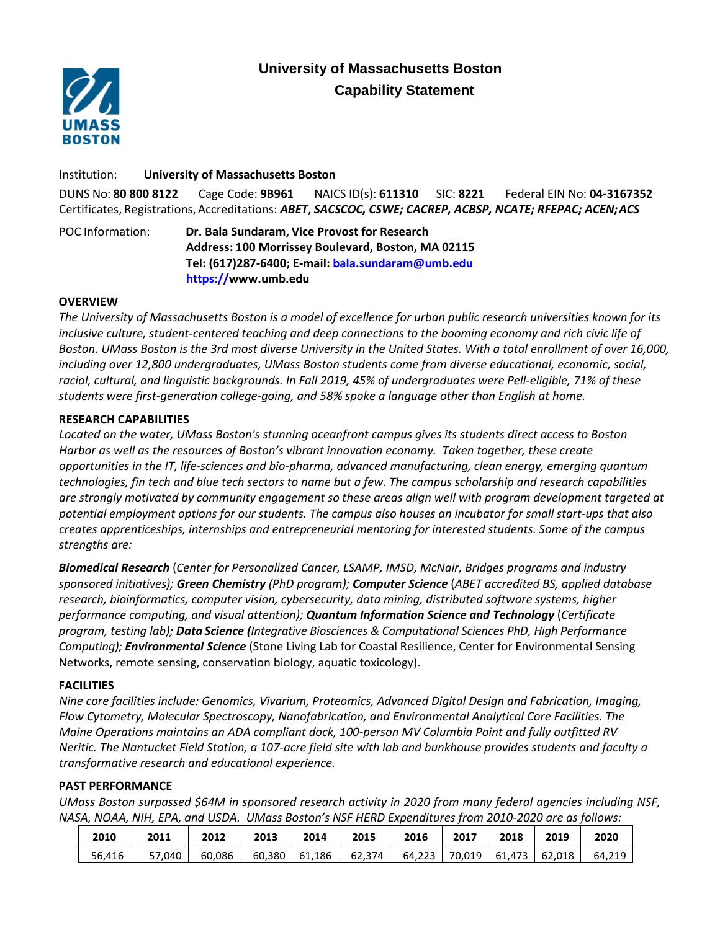# **University of Massachusetts Boston Capability Statement**



Institution: **University of Massachusetts Boston** DUNS No: **80 800 8122** Cage Code: **9B961** NAICS ID(s): **611310** SIC: **8221** Federal EIN No: **04-3167352** Certificates, Registrations, Accreditations: *ABET*, *SACSCOC, CSWE; CACREP, ACBSP, NCATE; RFEPAC; ACEN;ACS*

POC Information: **Dr. Bala Sundaram, Vice Provost for Research Address: 100 Morrissey Boulevard, Boston, MA 02115 Tel: (617)287-6400; E-mail: bala.sundaram@umb.edu https://www.umb.edu**

## **OVERVIEW**

*The University of Massachusetts Boston is a model of excellence for urban public research universities known for its inclusive culture, student-centered teaching and deep connections to the booming economy and rich civic life of Boston. UMass Boston is the 3rd most diverse University in the United States. With a total enrollment of over 16,000, including over 12,800 undergraduates, UMass Boston students come from diverse educational, economic, social, racial, cultural, and linguistic backgrounds. In Fall 2019, 45% of undergraduates were Pell-eligible, 71% of these students were first-generation college-going, and 58% spoke a language other than English at home.*

## **RESEARCH CAPABILITIES**

*Located on the water, UMass Boston's stunning oceanfront campus gives its students direct access to Boston Harbor as well as the resources of Boston's vibrant innovation economy. Taken together, these create opportunities in the IT, life-sciences and bio-pharma, advanced manufacturing, clean energy, emerging quantum technologies, fin tech and blue tech sectors to name but a few. The campus scholarship and research capabilities are strongly motivated by community engagement so these areas align well with program development targeted at potential employment options for our students. The campus also houses an incubator for small start-ups that also creates apprenticeships, internships and entrepreneurial mentoring for interested students. Some of the campus strengths are:*

*Biomedical Research* (*Center for Personalized Cancer, LSAMP, IMSD, McNair, Bridges programs and industry sponsored initiatives); Green Chemistry (PhD program); Computer Science* (*ABET accredited BS, applied database research, bioinformatics, computer vision, cybersecurity, data mining, distributed software systems, higher performance computing, and visual attention); Quantum Information Science and Technology* (*Certificate program, testing lab); Data Science (Integrative Biosciences & Computational Sciences PhD, High Performance Computing); Environmental Science* (Stone Living Lab for Coastal Resilience, Center for Environmental Sensing Networks, remote sensing, conservation biology, aquatic toxicology).

# **FACILITIES**

*Nine core facilities include: Genomics, Vivarium, Proteomics, Advanced Digital Design and Fabrication, Imaging, Flow Cytometry, Molecular Spectroscopy, Nanofabrication, and Environmental Analytical Core Facilities. The Maine Operations maintains an ADA compliant dock, 100-person MV Columbia Point and fully outfitted RV Neritic. The Nantucket Field Station, a 107-acre field site with lab and bunkhouse provides students and faculty a transformative research and educational experience.* 

#### **PAST PERFORMANCE**

*UMass Boston surpassed \$64M in sponsored research activity in 2020 from many federal agencies including NSF, NASA, NOAA, NIH, EPA, and USDA. UMass Boston's NSF HERD Expenditures from 2010-2020 are as follows:*

| 2010   | 2011   | 2012   | 2013   | 2014   | 2015   | 2016   | 2017   | 2018   | 2019   | 2020   |
|--------|--------|--------|--------|--------|--------|--------|--------|--------|--------|--------|
| 56,416 | 57,040 | 60.086 | 60.380 | 61.186 | 62,374 | 64,223 | 70.019 | 61.473 | 62.018 | 64.219 |